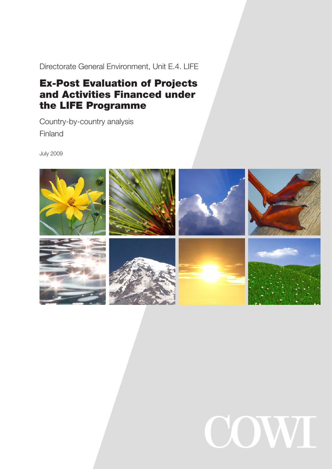Directorate General Environment, Unit E.4. LIFE

# Ex-Post Evaluation of Projects and Activities Financed under the LIFE Programme

Country-by-country analysis Finland

July 2009



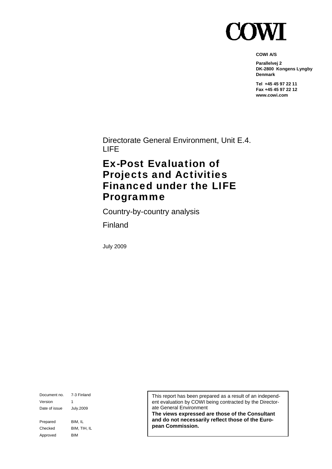

**COWI A/S** 

**Parallelvej 2 DK-2800 Kongens Lyngby Denmark** 

**Tel +45 45 97 22 11 Fax +45 45 97 22 12 www.cowi.com** 

Directorate General Environment, Unit E.4. LIFE

# Ex-Post Evaluation of Projects and Activities Financed under the LIFE Programme

Country-by-country analysis

Finland

July 2009

Document no. 7-3 Finland Version 1 Date of issue July.2009 Prepared BIM, IL Checked BIM, TIH, IL Approved BIM

This report has been prepared as a result of an independent evaluation by COWI being contracted by the Directorate General Environment

**The views expressed are those of the Consultant and do not necessarily reflect those of the European Commission.**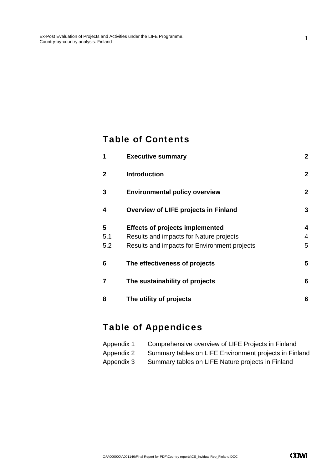### Table of Contents

| 1              | <b>Executive summary</b>                     | $\mathbf{2}$ |
|----------------|----------------------------------------------|--------------|
| $\overline{2}$ | <b>Introduction</b>                          | $\mathbf{2}$ |
| 3              | <b>Environmental policy overview</b>         | $\mathbf{2}$ |
| 4              | Overview of LIFE projects in Finland         | 3            |
| 5              | <b>Effects of projects implemented</b>       | 4            |
| 5.1            | Results and impacts for Nature projects      | 4            |
| 5.2            | Results and impacts for Environment projects | 5            |
| 6              | The effectiveness of projects                | 5            |
| $\overline{7}$ | The sustainability of projects               | 6            |
| 8              | The utility of projects                      | 6            |

# Table of Appendices

| Appendix 1 | Comprehensive overview of LIFE Projects in Finland     |
|------------|--------------------------------------------------------|
| Appendix 2 | Summary tables on LIFE Environment projects in Finland |
| Appendix 3 | Summary tables on LIFE Nature projects in Finland      |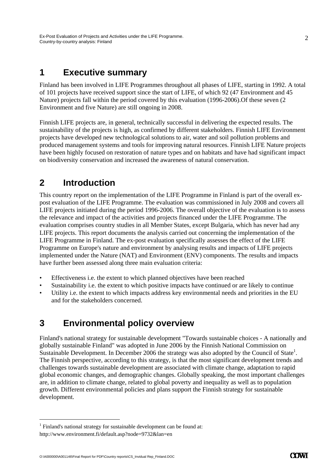### **1 Executive summary**

Finland has been involved in LIFE Programmes throughout all phases of LIFE, starting in 1992. A total of 101 projects have received support since the start of LIFE, of which 92 (47 Environment and 45 Nature) projects fall within the period covered by this evaluation (1996-2006).Of these seven (2 Environment and five Nature) are still ongoing in 2008.

Finnish LIFE projects are, in general, technically successful in delivering the expected results. The sustainability of the projects is high, as confirmed by different stakeholders. Finnish LIFE Environment projects have developed new technological solutions to air, water and soil pollution problems and produced management systems and tools for improving natural resources. Finnish LIFE Nature projects have been highly focused on restoration of nature types and on habitats and have had significant impact on biodiversity conservation and increased the awareness of natural conservation.

### **2 Introduction**

This country report on the implementation of the LIFE Programme in Finland is part of the overall expost evaluation of the LIFE Programme. The evaluation was commissioned in July 2008 and covers all LIFE projects initiated during the period 1996-2006. The overall objective of the evaluation is to assess the relevance and impact of the activities and projects financed under the LIFE Programme. The evaluation comprises country studies in all Member States, except Bulgaria, which has never had any LIFE projects. This report documents the analysis carried out concerning the implementation of the LIFE Programme in Finland. The ex-post evaluation specifically assesses the effect of the LIFE Programme on Europe's nature and environment by analysing results and impacts of LIFE projects implemented under the Nature (NAT) and Environment (ENV) components. The results and impacts have further been assessed along three main evaluation criteria:

- Effectiveness i.e. the extent to which planned objectives have been reached
- Sustainability i.e. the extent to which positive impacts have continued or are likely to continue
- Utility i.e. the extent to which impacts address key environmental needs and priorities in the EU and for the stakeholders concerned.

## **3 Environmental policy overview**

Finland's national strategy for sustainable development "Towards sustainable choices - A nationally and globally sustainable Finland" was adopted in June 2006 by the Finnish National Commission on Sustainable Development. In December 2006 the strategy was also adopted by the Council of State<sup>1</sup>. The Finnish perspective, according to this strategy, is that the most significant development trends and challenges towards sustainable development are associated with climate change, adaptation to rapid global economic changes, and demographic changes. Globally speaking, the most important challenges are, in addition to climate change, related to global poverty and inequality as well as to population growth. Different environmental policies and plans support the Finnish strategy for sustainable development.

-

 $<sup>1</sup>$  Finland's national strategy for sustainable development can be found at:</sup> http://www.environment.fi/default.asp?node=9732&lan=en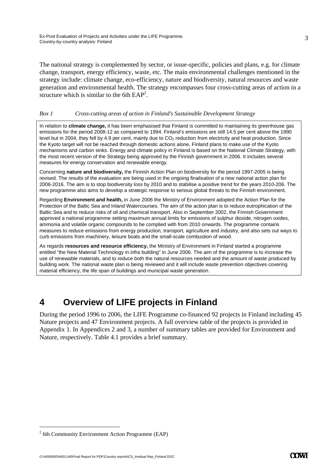The national strategy is complemented by sector, or issue-specific, policies and plans, e.g. for climate change, transport, energy efficiency, waste, etc. The main environmental challenges mentioned in the strategy include: climate change, eco-efficiency, nature and biodiversity, natural resources and waste generation and environmental health. The strategy encompasses four cross-cutting areas of action in a structure which is similar to the 6th  $EAP<sup>2</sup>$ .

### *Box 1 Cross-cutting areas of action in Finland's Sustainable Development Strategy*

In relation to **climate change,** it has been emphasised that Finland is committed to maintaining its greenhouse gas emissions for the period 2008-12 as compared to 1994. Finland's emissions are still 14.5 per cent above the 1990 level but in 2004, they fell by 4.9 per cent, mainly due to  $CO<sub>2</sub>$  reduction from electricity and heat production. Since the Kyoto target will not be reached through domestic actions alone, Finland plans to make use of the Kyoto mechanisms and carbon sinks. Energy and climate policy in Finland is based on the National Climate Strategy, with the most recent version of the Strategy being approved by the Finnish government in 2006. It includes several measures for energy conservation and renewable energy.

Concerning **nature and biodiversity,** the Finnish Action Plan on biodiversity for the period 1997-2005 is being revised. The results of the evaluation are being used in the ongoing finalisation of a new national action plan for 2006-2016. The aim is to stop biodiversity loss by 2010 and to stabilise a positive trend for the years 2010-206. The new programme also aims to develop a strategic response to serious global threats to the Finnish environment.

Regarding **Environment and health,** in June 2006 the Ministry of Environment adopted the Action Plan for the Protection of the Baltic Sea and Inland Watercourses. The aim of the action plan is to reduce eutrophication of the Baltic Sea and to reduce risks of oil and chemical transport. Also in September 2002, the Finnish Government approved a national programme setting maximum annual limits for emissions of sulphur dioxide, nitrogen oxides, ammonia and volatile organic compounds to be complied with from 2010 onwards. The programme contains measures to reduce emissions from energy production, transport, agriculture and industry, and also sets out ways to curb emissions from machinery, leisure boats and the small-scale combustion of wood.

As regards **resources and resource efficiency,** the Ministry of Environment in Finland started a programme entitled "the New Material Technology in infra building" in June 2006. The aim of the programme is to increase the use of renewable materials, and to reduce both the natural resources needed and the amount of waste produced by building work. The national waste plan is being reviewed and it will include waste prevention objectives covering material efficiency, the life span of buildings and municipal waste generation.

## **4 Overview of LIFE projects in Finland**

During the period 1996 to 2006, the LIFE Programme co-financed 92 projects in Finland including 45 Nature projects and 47 Environment projects. A full overview table of the projects is provided in Appendix 1. In Appendices 2 and 3, a number of summary tables are provided for Environment and Nature, respectively. Table 4.1 provides a brief summary.

-

 $2<sup>2</sup>$  6th Community Environment Action Programme (EAP)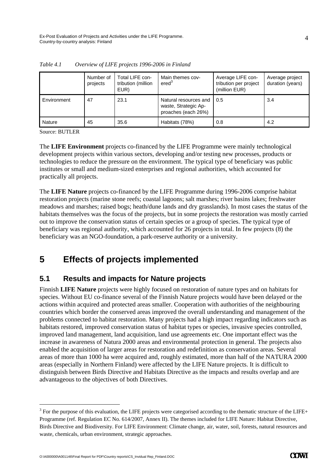|             | Number of<br>projects | Total LIFE con-<br>tribution (million<br>EUR) | Main themes cov-<br>ered <sup>3</sup>                                | Average LIFE con-<br>tribution per project<br>(million EUR) | Average project<br>duration (years) |
|-------------|-----------------------|-----------------------------------------------|----------------------------------------------------------------------|-------------------------------------------------------------|-------------------------------------|
| Environment | 47                    | 23.1                                          | Natural resources and<br>waste, Strategic Ap-<br>proaches (each 26%) | 0.5                                                         | 3.4                                 |
| Nature      | 45                    | 35.6                                          | Habitats (78%)                                                       | 0.8                                                         | 4.2                                 |

*Table 4.1 Overview of LIFE projects 1996-2006 in Finland* 

Source: BUTLER

-

The **LIFE Environment** projects co-financed by the LIFE Programme were mainly technological development projects within various sectors, developing and/or testing new processes, products or technologies to reduce the pressure on the environment. The typical type of beneficiary was public institutes or small and medium-sized enterprises and regional authorities, which accounted for practically all projects.

The **LIFE Nature** projects co-financed by the LIFE Programme during 1996-2006 comprise habitat restoration projects (marine stone reefs; coastal lagoons; salt marshes; river basins lakes; freshwater meadows and marshes; raised bogs; heath/dune lands and dry grasslands). In most cases the status of the habitats themselves was the focus of the projects, but in some projects the restoration was mostly carried out to improve the conservation status of certain species or a group of species. The typical type of beneficiary was regional authority, which accounted for 26 projects in total. In few projects (8) the beneficiary was an NGO-foundation, a park-reserve authority or a university.

## **5 Effects of projects implemented**

### **5.1 Results and impacts for Nature projects**

Finnish **LIFE Nature** projects were highly focused on restoration of nature types and on habitats for species. Without EU co-finance several of the Finnish Nature projects would have been delayed or the actions within acquired and protected areas smaller. Cooperation with authorities of the neighbouring countries which border the conserved areas improved the overall understanding and management of the problems connected to habitat restoration. Many projects had a high impact regarding indicators such as habitats restored, improved conservation status of habitat types or species, invasive species controlled, improved land management, land acquisition, land use agreements etc. One important effect was the increase in awareness of Natura 2000 areas and environmental protection in general. The projects also enabled the acquisition of larger areas for restoration and redefinition as conservation areas. Several areas of more than 1000 ha were acquired and, roughly estimated, more than half of the NATURA 2000 areas (especially in Northern Finland) were affected by the LIFE Nature projects. It is difficult to distinguish between Birds Directive and Habitats Directive as the impacts and results overlap and are advantageous to the objectives of both Directives.

 $3$  For the purpose of this evaluation, the LIFE projects were categorised according to the thematic structure of the LIFE+ Programme (ref. Regulation EC No. 614/2007, Annex II). The themes included for LIFE Nature: Habitat Directive, Birds Directive and Biodiversity. For LIFE Environment: Climate change, air, water, soil, forests, natural resources and waste, chemicals, urban environment, strategic approaches.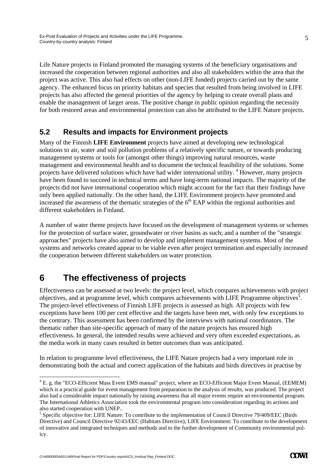Life Nature projects in Finland promoted the managing systems of the beneficiary organisations and increased the cooperation between regional authorities and also all stakeholders within the area that the project was active. This also had effects on other (non-LIFE funded) projects carried out by the same agency. The enhanced focus on priority habitats and species that resulted from being involved in LIFE projects has also affected the general priorities of the agency by helping to create overall plans and enable the management of larger areas. The positive change in public opinion regarding the necessity for both restored areas and environmental protection can also be attributed to the LIFE Nature projects.

### **5.2 Results and impacts for Environment projects**

Many of the Finnish **LIFE Environment** projects have aimed at developing new technological solutions to air, water and soil pollution problems of a relatively specific nature, or towards producing management systems or tools for (amongst other things) improving natural resources, waste management and environmental health and to document the technical feasibility of the solutions. Some projects have delivered solutions which have had wider international utility. <sup>4</sup> However, many projects have been found to succeed in technical terms and have long-term national impacts. The majority of the projects did not have international cooperation which might account for the fact that their findings have only been applied nationally. On the other hand, the LIFE Environment projects have promoted and increased the awareness of the thematic strategies of the  $6<sup>th</sup>$  EAP within the regional authorities and different stakeholders in Finland.

A number of water theme projects have focused on the development of management systems or schemes for the protection of surface water, groundwater or river basins as such; and a number of the "strategic approaches" projects have also aimed to develop and implement management systems. Most of the systems and networks created appear to be viable even after project termination and especially increased the cooperation between different stakeholders on water protection.

# **6 The effectiveness of projects**

Effectiveness can be assessed at two levels: the project level, which compares achievements with project objectives, and at programme level, which compares achievements with LIFE Programme objectives<sup>5</sup>. The project-level effectiveness of Finnish LIFE projects is assessed as high. All projects with few exceptions have been 100 per cent effective and the targets have been met, with only few exceptions to the contrary. This assessment has been confirmed by the interviews with national coordinators. The thematic rather than site-specific approach of many of the nature projects has ensured high effectiveness. In general, the intended results were achieved and very often exceeded expectations, as the media work in many cases resulted in better outcomes than was anticipated.

In relation to programme level effectiveness, the LIFE Nature projects had a very important role in demonstrating both the actual and correct application of the habitats and birds directives in practise by

-

<sup>&</sup>lt;sup>4</sup> E. g. the "ECO-Efficient Mass Event EMS manual" project, where an ECO-Efficient Major Event Manual, (EEMEM) which is a practical guide for event management from preparation to the analysis of results, was produced. The project also had a considerable impact nationally by raising awareness that all major events require an environmental program. The International Athletics Association took the environmental program into consideration regarding its actions and also started cooperation with UNEP..

<sup>&</sup>lt;sup>5</sup> Specific objective for: LIFE Nature: To contribute to the implementation of Council Directive 79/409/EEC (Birds Directive) and Council Directive 92/43/EEC (Habitats Directive); LIFE Environment: To contribute to the development of innovative and integrated techniques and methods and to the further development of Community environmental policy.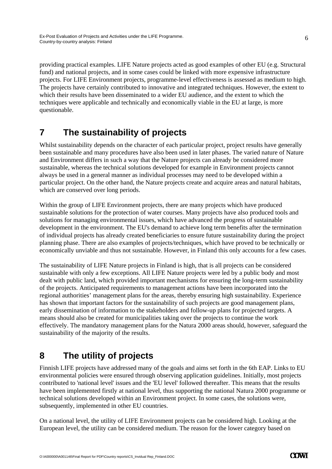providing practical examples. LIFE Nature projects acted as good examples of other EU (e.g. Structural fund) and national projects, and in some cases could be linked with more expensive infrastructure projects. For LIFE Environment projects, programme-level effectiveness is assessed as medium to high. The projects have certainly contributed to innovative and integrated techniques. However, the extent to which their results have been disseminated to a wider EU audience, and the extent to which the techniques were applicable and technically and economically viable in the EU at large, is more questionable.

# **7 The sustainability of projects**

Whilst sustainability depends on the character of each particular project, project results have generally been sustainable and many procedures have also been used in later phases. The varied nature of Nature and Environment differs in such a way that the Nature projects can already be considered more sustainable, whereas the technical solutions developed for example in Environment projects cannot always be used in a general manner as individual processes may need to be developed within a particular project. On the other hand, the Nature projects create and acquire areas and natural habitats, which are conserved over long periods.

Within the group of LIFE Environment projects, there are many projects which have produced sustainable solutions for the protection of water courses. Many projects have also produced tools and solutions for managing environmental issues, which have advanced the progress of sustainable development in the environment. The EU's demand to achieve long term benefits after the termination of individual projects has already created beneficiaries to ensure future sustainability during the project planning phase. There are also examples of projects/techniques, which have proved to be technically or economically unviable and thus not sustainable. However, in Finland this only accounts for a few cases.

The sustainability of LIFE Nature projects in Finland is high, that is all projects can be considered sustainable with only a few exceptions. All LIFE Nature projects were led by a public body and most dealt with public land, which provided important mechanisms for ensuring the long-term sustainability of the projects. Anticipated requirements to management actions have been incorporated into the regional authorities' management plans for the areas, thereby ensuring high sustainability. Experience has shown that important factors for the sustainability of such projects are good management plans, early dissemination of information to the stakeholders and follow-up plans for projected targets. A means should also be created for municipalities taking over the projects to continue the work effectively. The mandatory management plans for the Natura 2000 areas should, however, safeguard the sustainability of the majority of the results.

# **8 The utility of projects**

Finnish LIFE projects have addressed many of the goals and aims set forth in the 6th EAP. Links to EU environmental policies were ensured through observing application guidelines. Initially, most projects contributed to 'national level' issues and the 'EU level' followed thereafter. This means that the results have been implemented firstly at national level, thus supporting the national Natura 2000 programme or technical solutions developed within an Environment project. In some cases, the solutions were, subsequently, implemented in other EU countries.

On a national level, the utility of LIFE Environment projects can be considered high. Looking at the European level, the utility can be considered medium. The reason for the lower category based on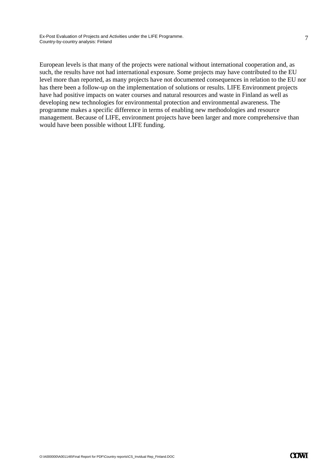European levels is that many of the projects were national without international cooperation and, as such, the results have not had international exposure. Some projects may have contributed to the EU level more than reported, as many projects have not documented consequences in relation to the EU nor has there been a follow-up on the implementation of solutions or results. LIFE Environment projects have had positive impacts on water courses and natural resources and waste in Finland as well as developing new technologies for environmental protection and environmental awareness. The programme makes a specific difference in terms of enabling new methodologies and resource management. Because of LIFE, environment projects have been larger and more comprehensive than would have been possible without LIFE funding.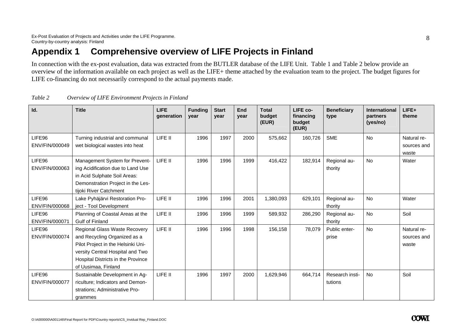# **Appendix 1 Comprehensive overview of LIFE Projects in Finland**

In connection with the ex-post evaluation, data was extracted from the BUTLER database of the LIFE Unit. Table 1 and Table 2 below provide an overview of the information available on each project as well as the LIFE+ theme attached by the evaluation team to the project. The budget figures for LIFE co-financing do not necessarily correspond to the actual payments made.

| Id.                      | <b>Title</b>                                                                                                                                                                                         | <b>LIFE</b><br>generation | <b>Funding</b><br>year | <b>Start</b><br>year | End<br>year | <b>Total</b><br>budget<br>(EUR) | LIFE co-<br>financing<br>budget<br>(EUR) | <b>Beneficiary</b><br>type | <b>International</b><br>partners<br>(yes/no) | LIFE+<br>theme                      |
|--------------------------|------------------------------------------------------------------------------------------------------------------------------------------------------------------------------------------------------|---------------------------|------------------------|----------------------|-------------|---------------------------------|------------------------------------------|----------------------------|----------------------------------------------|-------------------------------------|
| LIFE96<br>ENV/FIN/000049 | Turning industrial and communal<br>wet biological wastes into heat                                                                                                                                   | LIFE II                   | 1996                   | 1997                 | 2000        | 575,662                         | 160,726                                  | <b>SME</b>                 | <b>No</b>                                    | Natural re-<br>sources and<br>waste |
| LIFE96<br>ENV/FIN/000063 | Management System for Prevent-<br>ing Acidification due to Land Use<br>in Acid Sulphate Soil Areas:<br>Demonstration Project in the Les-<br>tijoki River Catchment                                   | LIFE II                   | 1996                   | 1996                 | 1999        | 416,422                         | 182,914                                  | Regional au-<br>thority    | No                                           | Water                               |
| LIFE96<br>ENV/FIN/000068 | Lake Pyhäjärvi Restoration Pro-<br>ject - Tool Development                                                                                                                                           | LIFE II                   | 1996                   | 1996                 | 2001        | 1,380,093                       | 629,101                                  | Regional au-<br>thority    | No                                           | Water                               |
| LIFE96<br>ENV/FIN/000071 | Planning of Coastal Areas at the<br>Gulf of Finland                                                                                                                                                  | LIFE II                   | 1996                   | 1996                 | 1999        | 589,932                         | 286,290                                  | Regional au-<br>thority    | No                                           | Soil                                |
| LIFE96<br>ENV/FIN/000074 | Regional Glass Waste Recovery<br>and Recycling Organized as a<br>Pilot Project in the Helsinki Uni-<br>versity Central Hospital and Two<br>Hospital Districts in the Province<br>of Uusimaa, Finland | LIFE II                   | 1996                   | 1996                 | 1998        | 156,158                         | 78,079                                   | Public enter-<br>prise     | No                                           | Natural re-<br>sources and<br>waste |
| LIFE96<br>ENV/FIN/000077 | Sustainable Development in Ag-<br>riculture; Indicators and Demon-<br>strations; Administrative Pro-<br>grammes                                                                                      | LIFE II                   | 1996                   | 1997                 | 2000        | 1,629,946                       | 664,714                                  | Research insti-<br>tutions | <b>No</b>                                    | Soil                                |

| Table 2 | Overview of LIFE Environment Projects in Finland |  |  |
|---------|--------------------------------------------------|--|--|
|         |                                                  |  |  |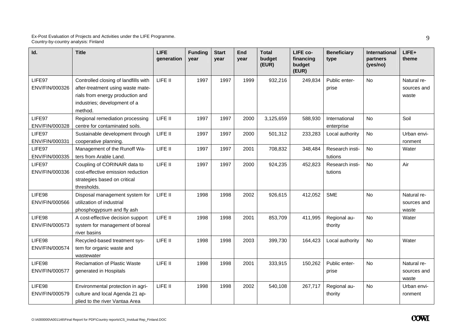| Id.                      | <b>Title</b>                                                                                                                                             | <b>LIFE</b><br>qeneration | <b>Funding</b><br>year | <b>Start</b><br>year | End<br>year | <b>Total</b><br>budget<br>(EUR) | LIFE co-<br>financing<br>budget<br>(EUR) | <b>Beneficiary</b><br>type  | <b>International</b><br>partners<br>(yes/no) | LIFE+<br>theme                      |
|--------------------------|----------------------------------------------------------------------------------------------------------------------------------------------------------|---------------------------|------------------------|----------------------|-------------|---------------------------------|------------------------------------------|-----------------------------|----------------------------------------------|-------------------------------------|
| LIFE97<br>ENV/FIN/000326 | Controlled closing of landfills with<br>after-treatment using waste mate-<br>rials from energy production and<br>industries; development of a<br>method. | LIFE II                   | 1997                   | 1997                 | 1999        | 932,216                         | 249,834                                  | Public enter-<br>prise      | <b>No</b>                                    | Natural re-<br>sources and<br>waste |
| LIFE97<br>ENV/FIN/000328 | Regional remediation processing<br>centre for contaminated soils.                                                                                        | LIFE II                   | 1997                   | 1997                 | 2000        | 3,125,659                       | 588,930                                  | International<br>enterprise | No                                           | Soil                                |
| LIFE97<br>ENV/FIN/000331 | Sustainable development through<br>cooperative planning.                                                                                                 | LIFE II                   | 1997                   | 1997                 | 2000        | 501,312                         | 233,283                                  | Local authority             | No                                           | Urban envi-<br>ronment              |
| LIFE97<br>ENV/FIN/000335 | Management of the Runoff Wa-<br>ters from Arable Land.                                                                                                   | LIFE II                   | 1997                   | 1997                 | 2001        | 708,832                         | 348,484                                  | Research insti-<br>tutions  | <b>No</b>                                    | Water                               |
| LIFE97<br>ENV/FIN/000336 | Coupling of CORINAIR data to<br>cost-effective emission reduction<br>strategies based on critical<br>thresholds.                                         | LIFE II                   | 1997                   | 1997                 | 2000        | 924,235                         | 452,823                                  | Research insti-<br>tutions  | <b>No</b>                                    | Air                                 |
| LIFE98<br>ENV/FIN/000566 | Disposal management system for<br>utilization of industrial<br>phosphogypsum and fly ash                                                                 | LIFE II                   | 1998                   | 1998                 | 2002        | 926,615                         | 412,052                                  | <b>SME</b>                  | <b>No</b>                                    | Natural re-<br>sources and<br>waste |
| LIFE98<br>ENV/FIN/000573 | A cost-effective decision support<br>system for management of boreal<br>river basins                                                                     | LIFE II                   | 1998                   | 1998                 | 2001        | 853,709                         | 411,995                                  | Regional au-<br>thority     | <b>No</b>                                    | Water                               |
| LIFE98<br>ENV/FIN/000574 | Recycled-based treatment sys-<br>tem for organic waste and<br>wastewater                                                                                 | LIFE II                   | 1998                   | 1998                 | 2003        | 399,730                         | 164,423                                  | Local authority             | <b>No</b>                                    | Water                               |
| LIFE98<br>ENV/FIN/000577 | <b>Reclamation of Plastic Waste</b><br>generated in Hospitals                                                                                            | LIFE II                   | 1998                   | 1998                 | 2001        | 333,915                         | 150,262                                  | Public enter-<br>prise      | <b>No</b>                                    | Natural re-<br>sources and<br>waste |
| LIFE98<br>ENV/FIN/000579 | Environmental protection in agri-<br>culture and local Agenda 21 ap-<br>plied to the river Vantaa Area                                                   | LIFE II                   | 1998                   | 1998                 | 2002        | 540,108                         | 267,717                                  | Regional au-<br>thority     | No                                           | Urban envi-<br>ronment              |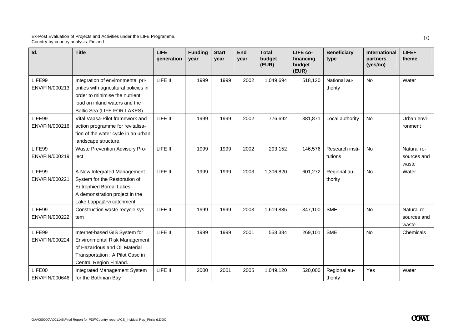| Id.                      | <b>Title</b>                                                                                                                                                                 | <b>LIFE</b><br>generation | <b>Funding</b><br>year | <b>Start</b><br>year | <b>End</b><br>year | <b>Total</b><br>budget<br>(EUR) | LIFE co-<br>financing<br>budget<br>(EUR) | <b>Beneficiary</b><br>type | <b>International</b><br>partners<br>(yes/no) | LIFE+<br>theme                      |
|--------------------------|------------------------------------------------------------------------------------------------------------------------------------------------------------------------------|---------------------------|------------------------|----------------------|--------------------|---------------------------------|------------------------------------------|----------------------------|----------------------------------------------|-------------------------------------|
| LIFE99<br>ENV/FIN/000213 | Integration of environmental pri-<br>orities with agricultural policies in<br>order to minimise the nutrient<br>load on inland waters and the<br>Baltic Sea (LIFE FOR LAKES) | LIFE II                   | 1999                   | 1999                 | 2002               | 1,049,694                       | 518,120                                  | National au-<br>thority    | <b>No</b>                                    | Water                               |
| LIFE99<br>ENV/FIN/000216 | Vital Vaasa-Pilot framework and<br>action programme for revitalisa-<br>tion of the water cycle in an urban<br>landscape structure.                                           | LIFE II                   | 1999                   | 1999                 | 2002               | 776,692                         | 381,871                                  | Local authority            | No                                           | Urban envi-<br>ronment              |
| LIFE99<br>ENV/FIN/000219 | Waste Prevention Advisory Pro-<br>ject                                                                                                                                       | LIFE II                   | 1999                   | 1999                 | 2002               | 293,152                         | 146,576                                  | Research insti-<br>tutions | No                                           | Natural re-<br>sources and<br>waste |
| LIFE99<br>ENV/FIN/000221 | A New Integrated Management<br>System for the Restoration of<br><b>Eutrophied Boreal Lakes</b><br>A demonstration project in the<br>Lake Lappajärvi catchment                | LIFE II                   | 1999                   | 1999                 | 2003               | 1,306,820                       | 601,272                                  | Regional au-<br>thority    | <b>No</b>                                    | Water                               |
| LIFE99<br>ENV/FIN/000222 | Construction waste recycle sys-<br>tem                                                                                                                                       | LIFE II                   | 1999                   | 1999                 | 2003               | 1,619,835                       | 347,100                                  | <b>SME</b>                 | <b>No</b>                                    | Natural re-<br>sources and<br>waste |
| LIFE99<br>ENV/FIN/000224 | Internet-based GIS System for<br>Environmental Risk Management<br>of Hazardous and Oil Material<br>Transportation : A Pilot Case in<br>Central Region Finland.               | LIFE II                   | 1999                   | 1999                 | 2001               | 558,384                         | 269,101                                  | <b>SME</b>                 | <b>No</b>                                    | Chemicals                           |
| LIFE00<br>ENV/FIN/000646 | Integrated Management System<br>for the Bothnian Bay                                                                                                                         | LIFE II                   | 2000                   | 2001                 | 2005               | 1,049,120                       | 520,000                                  | Regional au-<br>thority    | Yes                                          | Water                               |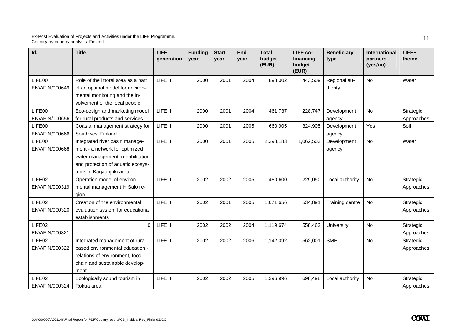| Id.                      | <b>Title</b>                                                                                                                                                          | <b>LIFE</b><br>generation | <b>Funding</b><br>year | <b>Start</b><br>vear | End<br>year | <b>Total</b><br>budget<br>(EUR) | LIFE co-<br>financing<br>budget<br>(EUR) | <b>Beneficiary</b><br>type | <b>International</b><br>partners<br>(yes/no) | LIFE+<br>theme          |
|--------------------------|-----------------------------------------------------------------------------------------------------------------------------------------------------------------------|---------------------------|------------------------|----------------------|-------------|---------------------------------|------------------------------------------|----------------------------|----------------------------------------------|-------------------------|
| LIFE00<br>ENV/FIN/000649 | Role of the littoral area as a part<br>of an optimal model for environ-<br>mental monitoring and the in-<br>volvement of the local people                             | LIFE II                   | 2000                   | 2001                 | 2004        | 898,002                         | 443,509                                  | Regional au-<br>thority    | No                                           | Water                   |
| LIFE00<br>ENV/FIN/000656 | Eco-design and marketing model<br>for rural products and services                                                                                                     | LIFE II                   | 2000                   | 2001                 | 2004        | 461,737                         | 228,747                                  | Development<br>agency      | No                                           | Strategic<br>Approaches |
| LIFE00<br>ENV/FIN/000666 | Coastal management strategy for<br>Southwest Finland                                                                                                                  | LIFE II                   | 2000                   | 2001                 | 2005        | 660,905                         | 324,905                                  | Development<br>agency      | Yes                                          | Soil                    |
| LIFE00<br>ENV/FIN/000668 | Integrated river basin manage-<br>ment - a network for optimized<br>water management, rehabilitation<br>and protection of aquatic ecosys-<br>tems in Karjaanjoki area | LIFE II                   | 2000                   | 2001                 | 2005        | 2,298,183                       | 1,062,503                                | Development<br>agency      | <b>No</b>                                    | Water                   |
| LIFE02<br>ENV/FIN/000319 | Operation model of environ-<br>mental management in Salo re-<br>gion                                                                                                  | LIFE III                  | 2002                   | 2002                 | 2005        | 480,600                         | 229,050                                  | Local authority            | No                                           | Strategic<br>Approaches |
| LIFE02<br>ENV/FIN/000320 | Creation of the environmental<br>evaluation system for educational<br>establishments                                                                                  | LIFE III                  | 2002                   | 2001                 | 2005        | 1,071,656                       | 534,891                                  | Training centre            | No                                           | Strategic<br>Approaches |
| LIFE02<br>ENV/FIN/000321 | $\mathbf 0$                                                                                                                                                           | LIFE III                  | 2002                   | 2002                 | 2004        | 1,119,674                       | 558,462                                  | University                 | No                                           | Strategic<br>Approaches |
| LIFE02<br>ENV/FIN/000322 | Integrated management of rural-<br>based environmental education -<br>relations of environment, food<br>chain and sustainable develop-<br>ment                        | LIFE III                  | 2002                   | 2002                 | 2006        | 1,142,092                       | 562,001                                  | <b>SME</b>                 | No                                           | Strategic<br>Approaches |
| LIFE02<br>ENV/FIN/000324 | Ecologically sound tourism in<br>Rokua area                                                                                                                           | LIFE III                  | 2002                   | 2002                 | 2005        | 1,396,996                       | 698,498                                  | Local authority            | No                                           | Strategic<br>Approaches |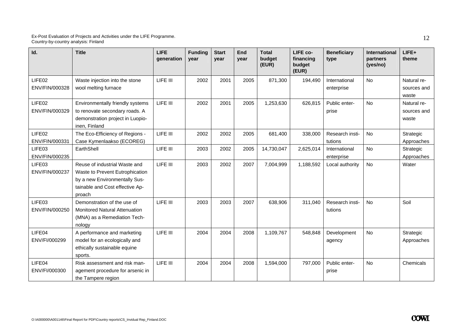| Id.                      | <b>Title</b>                                                                                                                                   | <b>LIFE</b><br>generation | <b>Funding</b><br>year | <b>Start</b><br>year | End<br>vear | <b>Total</b><br>budget<br>(EUR) | LIFE co-<br>financing<br>budget<br>(EUR) | <b>Beneficiary</b><br>type  | <b>International</b><br>partners<br>(yes/no) | LIFE+<br>theme                      |
|--------------------------|------------------------------------------------------------------------------------------------------------------------------------------------|---------------------------|------------------------|----------------------|-------------|---------------------------------|------------------------------------------|-----------------------------|----------------------------------------------|-------------------------------------|
| LIFE02<br>ENV/FIN/000328 | Waste injection into the stone<br>wool melting furnace                                                                                         | LIFE III                  | 2002                   | 2001                 | 2005        | 871,300                         | 194,490                                  | International<br>enterprise | No                                           | Natural re-<br>sources and<br>waste |
| LIFE02<br>ENV/FIN/000329 | Environmentally friendly systems<br>to renovate secondary roads. A<br>demonstration project in Luopio-<br>inen, Finland                        | LIFE III                  | 2002                   | 2001                 | 2005        | 1,253,630                       | 626,815                                  | Public enter-<br>prise      | <b>No</b>                                    | Natural re-<br>sources and<br>waste |
| LIFE02<br>ENV/FIN/000331 | The Eco-Efficiency of Regions -<br>Case Kymenlaakso (ECOREG)                                                                                   | LIFE III                  | 2002                   | 2002                 | 2005        | 681,400                         | 338,000                                  | Research insti-<br>tutions  | No                                           | Strategic<br>Approaches             |
| LIFE03<br>ENV/FIN/000235 | EarthShell                                                                                                                                     | LIFE III                  | 2003                   | 2002                 | 2005        | 14,730,047                      | 2,625,014                                | International<br>enterprise | No                                           | Strategic<br>Approaches             |
| LIFE03<br>ENV/FIN/000237 | Reuse of industrial Waste and<br>Waste to Prevent Eutrophication<br>by a new Environmentally Sus-<br>tainable and Cost effective Ap-<br>proach | LIFE III                  | 2003                   | 2002                 | 2007        | 7,004,999                       | 1,188,592                                | Local authority             | <b>No</b>                                    | Water                               |
| LIFE03<br>ENV/FIN/000250 | Demonstration of the use of<br><b>Monitored Natural Attenuation</b><br>(MNA) as a Remediation Tech-<br>nology                                  | LIFE III                  | 2003                   | 2003                 | 2007        | 638,906                         | 311,040                                  | Research insti-<br>tutions  | No                                           | Soil                                |
| LIFE04<br>ENV/FI/000299  | A performance and marketing<br>model for an ecologically and<br>ethically sustainable equine<br>sports.                                        | LIFE III                  | 2004                   | 2004                 | 2008        | 1,109,767                       | 548,848                                  | Development<br>agency       | No                                           | Strategic<br>Approaches             |
| LIFE04<br>ENV/FI/000300  | Risk assessment and risk man-<br>agement procedure for arsenic in<br>the Tampere region                                                        | LIFE III                  | 2004                   | 2004                 | 2008        | 1,594,000                       | 797,000                                  | Public enter-<br>prise      | <b>No</b>                                    | Chemicals                           |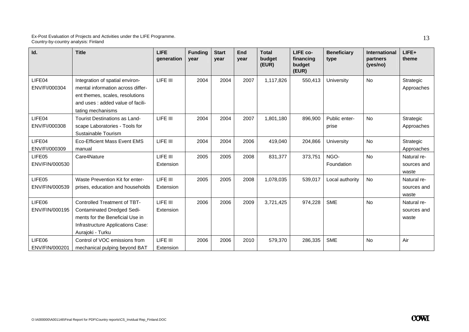| Id.                      | <b>Title</b>                                                                                                                                                         | <b>LIFE</b><br>generation | <b>Funding</b><br>year | <b>Start</b><br>vear | End<br>year | <b>Total</b><br>budget<br>(EUR) | LIFE co-<br>financing<br>budget<br>(EUR) | <b>Beneficiary</b><br>type | <b>International</b><br>partners<br>(yes/no) | LIFE+<br>theme                      |
|--------------------------|----------------------------------------------------------------------------------------------------------------------------------------------------------------------|---------------------------|------------------------|----------------------|-------------|---------------------------------|------------------------------------------|----------------------------|----------------------------------------------|-------------------------------------|
| LIFE04<br>ENV/FI/000304  | Integration of spatial environ-<br>mental information across differ-<br>ent themes, scales, resolutions<br>and uses : added value of facili-<br>tating mechanisms    | LIFE III                  | 2004                   | 2004                 | 2007        | 1,117,826                       | 550,413                                  | University                 | No                                           | Strategic<br>Approaches             |
| LIFE04<br>ENV/FI/000308  | Tourist Destinations as Land-<br>scape Laboratories - Tools for<br>Sustainable Tourism                                                                               | LIFE III                  | 2004                   | 2004                 | 2007        | 1,801,180                       | 896,900                                  | Public enter-<br>prise     | No                                           | Strategic<br>Approaches             |
| LIFE04<br>ENV/FI/000309  | Eco-Efficient Mass Event EMS<br>manual                                                                                                                               | LIFE III                  | 2004                   | 2004                 | 2006        | 419.040                         | 204,866                                  | University                 | No                                           | Strategic<br>Approaches             |
| LIFE05<br>ENV/FIN/000530 | Care4Nature                                                                                                                                                          | LIFE III<br>Extension     | 2005                   | 2005                 | 2008        | 831,377                         | 373,751                                  | NGO-<br>Foundation         | No                                           | Natural re-<br>sources and<br>waste |
| LIFE05<br>ENV/FIN/000539 | Waste Prevention Kit for enter-<br>prises, education and households                                                                                                  | LIFE III<br>Extension     | 2005                   | 2005                 | 2008        | 1,078,035                       | 539,017                                  | Local authority            | No                                           | Natural re-<br>sources and<br>waste |
| LIFE06<br>ENV/FIN/000195 | <b>Controlled Treatment of TBT-</b><br><b>Contaminated Dredged Sedi-</b><br>ments for the Beneficial Use in<br>Infrastructure Applications Case:<br>Aurajoki - Turku | LIFE III<br>Extension     | 2006                   | 2006                 | 2009        | 3,721,425                       | 974,228                                  | <b>SME</b>                 | No                                           | Natural re-<br>sources and<br>waste |
| LIFE06<br>ENV/FIN/000201 | Control of VOC emissions from<br>mechanical pulping beyond BAT                                                                                                       | LIFE III<br>Extension     | 2006                   | 2006                 | 2010        | 579,370                         | 286,335                                  | <b>SME</b>                 | <b>No</b>                                    | Air                                 |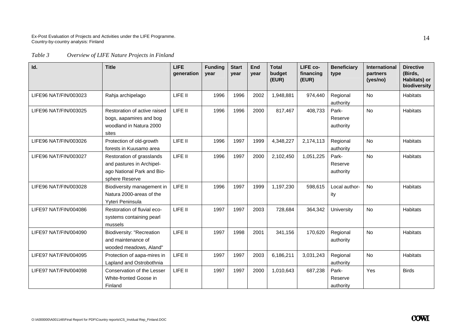*Table 3 Overview of LIFE Nature Projects in Finland* 

| Id.                   | <b>Title</b>                                                                                           | <b>LIFE</b><br>generation | <b>Funding</b><br>vear | <b>Start</b><br>year | End<br>year | <b>Total</b><br>budget<br>(EUR) | LIFE co-<br>financing<br>(EUR) | <b>Beneficiary</b><br>type    | <b>International</b><br>partners<br>(yes/no) | <b>Directive</b><br>(Birds,<br>Habitats) or<br>biodiversity |
|-----------------------|--------------------------------------------------------------------------------------------------------|---------------------------|------------------------|----------------------|-------------|---------------------------------|--------------------------------|-------------------------------|----------------------------------------------|-------------------------------------------------------------|
| LIFE96 NAT/FIN/003023 | Rahja archipelago                                                                                      | LIFE II                   | 1996                   | 1996                 | 2002        | 1,948,881                       | 974,440                        | Regional<br>authority         | <b>No</b>                                    | <b>Habitats</b>                                             |
| LIFE96 NAT/FIN/003025 | Restoration of active raised<br>bogs, aapamires and bog<br>woodland in Natura 2000<br>sites            | LIFE II                   | 1996                   | 1996                 | 2000        | 817,467                         | 408,733                        | Park-<br>Reserve<br>authority | <b>No</b>                                    | <b>Habitats</b>                                             |
| LIFE96 NAT/FIN/003026 | Protection of old-growth<br>forests in Kuusamo area                                                    | LIFE II                   | 1996                   | 1997                 | 1999        | 4,348,227                       | 2,174,113                      | Regional<br>authority         | <b>No</b>                                    | <b>Habitats</b>                                             |
| LIFE96 NAT/FIN/003027 | Restoration of grasslands<br>and pastures in Archipel-<br>ago National Park and Bio-<br>sphere Reserve | LIFE II                   | 1996                   | 1997                 | 2000        | 2,102,450                       | 1,051,225                      | Park-<br>Reserve<br>authority | No                                           | <b>Habitats</b>                                             |
| LIFE96 NAT/FIN/003028 | Biodiversity management in<br>Natura 2000-areas of the<br>Yyteri Peninsula                             | LIFE II                   | 1996                   | 1997                 | 1999        | 1,197,230                       | 598,615                        | Local author-<br>ity          | <b>No</b>                                    | <b>Habitats</b>                                             |
| LIFE97 NAT/FIN/004086 | Restoration of fluvial eco-<br>systems containing pearl<br>mussels                                     | LIFE II                   | 1997                   | 1997                 | 2003        | 728,684                         | 364,342                        | University                    | <b>No</b>                                    | <b>Habitats</b>                                             |
| LIFE97 NAT/FIN/004090 | <b>Biodiversity: "Recreation</b><br>and maintenance of<br>wooded meadows, Aland"                       | LIFE II                   | 1997                   | 1998                 | 2001        | 341,156                         | 170,620                        | Regional<br>authority         | <b>No</b>                                    | <b>Habitats</b>                                             |
| LIFE97 NAT/FIN/004095 | Protection of aapa-mires in<br>Lapland and Ostrobothnia                                                | LIFE II                   | 1997                   | 1997                 | 2003        | 6,186,211                       | 3,031,243                      | Regional<br>authority         | <b>No</b>                                    | <b>Habitats</b>                                             |
| LIFE97 NAT/FIN/004098 | Conservation of the Lesser<br>White-fronted Goose in<br>Finland                                        | LIFE II                   | 1997                   | 1997                 | 2000        | 1,010,643                       | 687,238                        | Park-<br>Reserve<br>authority | Yes                                          | <b>Birds</b>                                                |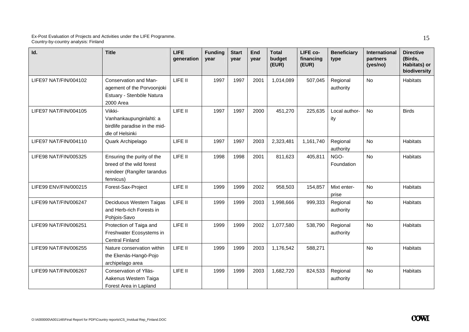| Id.                   | <b>Title</b>                                                                                       | <b>LIFE</b><br>qeneration | <b>Funding</b><br>vear | <b>Start</b><br>year | End<br>year | <b>Total</b><br>budget<br>(EUR) | LIFE co-<br>financing<br>(EUR) | <b>Beneficiary</b><br>type | International<br>partners<br>(yes/no) | <b>Directive</b><br>(Birds,<br>Habitats) or<br>biodiversity |
|-----------------------|----------------------------------------------------------------------------------------------------|---------------------------|------------------------|----------------------|-------------|---------------------------------|--------------------------------|----------------------------|---------------------------------------|-------------------------------------------------------------|
| LIFE97 NAT/FIN/004102 | Conservation and Man-<br>agement of the Porvoonjoki<br>Estuary - Stenböle Natura<br>2000 Area      | LIFE II                   | 1997                   | 1997                 | 2001        | 1,014,089                       | 507,045                        | Regional<br>authority      | No                                    | <b>Habitats</b>                                             |
| LIFE97 NAT/FIN/004105 | Viikki-<br>Vanhankaupunginlahti: a<br>birdlife paradise in the mid-<br>dle of Helsinki             | LIFE II                   | 1997                   | 1997                 | 2000        | 451,270                         | 225,635                        | Local author-<br>ity       | <b>No</b>                             | <b>Birds</b>                                                |
| LIFE97 NAT/FIN/004110 | Quark Archipelago                                                                                  | LIFE II                   | 1997                   | 1997                 | 2003        | 2,323,481                       | 1,161,740                      | Regional<br>authority      | No                                    | <b>Habitats</b>                                             |
| LIFE98 NAT/FIN/005325 | Ensuring the purity of the<br>breed of the wild forest<br>reindeer (Rangifer tarandus<br>fennicus) | LIFE II                   | 1998                   | 1998                 | 2001        | 811,623                         | 405,811                        | NGO-<br>Foundation         | <b>No</b>                             | <b>Habitats</b>                                             |
| LIFE99 ENV/FIN/000215 | Forest-Sax-Project                                                                                 | LIFE II                   | 1999                   | 1999                 | 2002        | 958,503                         | 154,857                        | Mixt enter-<br>prise       | No                                    | Habitats                                                    |
| LIFE99 NAT/FIN/006247 | Deciduous Western Taigas<br>and Herb-rich Forests in<br>Pohjois-Savo                               | LIFE II                   | 1999                   | 1999                 | 2003        | 1,998,666                       | 999,333                        | Regional<br>authority      | <b>No</b>                             | Habitats                                                    |
| LIFE99 NAT/FIN/006251 | Protection of Taiga and<br>Freshwater Ecosystems in<br><b>Central Finland</b>                      | LIFE II                   | 1999                   | 1999                 | 2002        | 1,077,580                       | 538,790                        | Regional<br>authority      | No                                    | <b>Habitats</b>                                             |
| LIFE99 NAT/FIN/006255 | Nature conservation within<br>the Ekenäs-Hangö-Pojo<br>archipelago area                            | LIFE II                   | 1999                   | 1999                 | 2003        | 1,176,542                       | 588,271                        |                            | <b>No</b>                             | <b>Habitats</b>                                             |
| LIFE99 NAT/FIN/006267 | Conservation of Ylläs-<br>Aakenus Western Taiga<br>Forest Area in Lapland                          | LIFE II                   | 1999                   | 1999                 | 2003        | 1,682,720                       | 824,533                        | Regional<br>authority      | <b>No</b>                             | Habitats                                                    |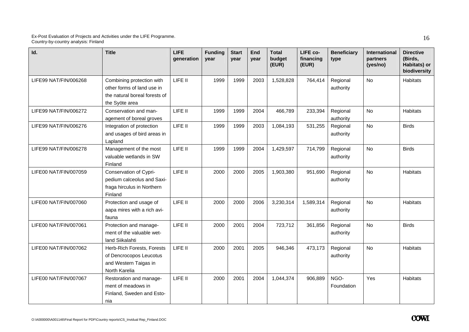| Id.                   | <b>Title</b>                                                                                               | <b>LIFE</b><br>qeneration | <b>Funding</b><br>vear | <b>Start</b><br>year | <b>End</b><br>year | <b>Total</b><br>budget<br>(EUR) | LIFE co-<br>financing<br>(EUR) | <b>Beneficiary</b><br>type | <b>International</b><br>partners<br>(yes/no) | <b>Directive</b><br>(Birds,<br>Habitats) or<br>biodiversity |
|-----------------------|------------------------------------------------------------------------------------------------------------|---------------------------|------------------------|----------------------|--------------------|---------------------------------|--------------------------------|----------------------------|----------------------------------------------|-------------------------------------------------------------|
| LIFE99 NAT/FIN/006268 | Combining protection with<br>other forms of land use in<br>the natural boreal forests of<br>the Syöte area | LIFE II                   | 1999                   | 1999                 | 2003               | 1,528,828                       | 764,414                        | Regional<br>authority      | <b>No</b>                                    | Habitats                                                    |
| LIFE99 NAT/FIN/006272 | Conservation and man-<br>agement of boreal groves                                                          | LIFE II                   | 1999                   | 1999                 | 2004               | 466,789                         | 233,394                        | Regional<br>authority      | No                                           | Habitats                                                    |
| LIFE99 NAT/FIN/006276 | Integration of protection<br>and usages of bird areas in<br>Lapland                                        | LIFE II                   | 1999                   | 1999                 | 2003               | 1,084,193                       | 531,255                        | Regional<br>authority      | <b>No</b>                                    | <b>Birds</b>                                                |
| LIFE99 NAT/FIN/006278 | Management of the most<br>valuable wetlands in SW<br>Finland                                               | LIFE II                   | 1999                   | 1999                 | 2004               | 1,429,597                       | 714,799                        | Regional<br>authority      | <b>No</b>                                    | <b>Birds</b>                                                |
| LIFE00 NAT/FIN/007059 | Conservation of Cypri-<br>pedium calceolus and Saxi-<br>fraga hirculus in Northern<br>Finland              | LIFE II                   | 2000                   | 2000                 | 2005               | 1,903,380                       | 951,690                        | Regional<br>authority      | <b>No</b>                                    | Habitats                                                    |
| LIFE00 NAT/FIN/007060 | Protection and usage of<br>aapa mires with a rich avi-<br>fauna                                            | LIFE II                   | 2000                   | 2000                 | 2006               | 3,230,314                       | 1,589,314                      | Regional<br>authority      | <b>No</b>                                    | Habitats                                                    |
| LIFE00 NAT/FIN/007061 | Protection and manage-<br>ment of the valuable wet-<br>land Siikalahti                                     | LIFE II                   | 2000                   | 2001                 | 2004               | 723,712                         | 361,856                        | Regional<br>authority      | <b>No</b>                                    | <b>Birds</b>                                                |
| LIFE00 NAT/FIN/007062 | Herb-Rich Forests, Forests<br>of Dencrocopos Leucotus<br>and Western Taigas in<br>North Karelia            | LIFE II                   | 2000                   | 2001                 | 2005               | 946,346                         | 473,173                        | Regional<br>authority      | <b>No</b>                                    | Habitats                                                    |
| LIFE00 NAT/FIN/007067 | Restoration and manage-<br>ment of meadows in<br>Finland, Sweden and Esto-<br>nia                          | LIFE II                   | 2000                   | 2001                 | 2004               | 1,044,374                       | 906,889                        | NGO-<br>Foundation         | Yes                                          | Habitats                                                    |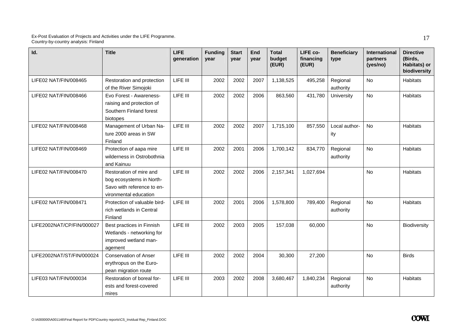| Id.                       | <b>Title</b>                                                                                               | <b>LIFE</b><br>qeneration | <b>Funding</b><br>year | <b>Start</b><br>year | End<br>year | <b>Total</b><br>budget<br>(EUR) | LIFE co-<br>financing<br>(EUR) | <b>Beneficiary</b><br>type | International<br>partners<br>(yes/no) | <b>Directive</b><br>(Birds,<br>Habitats) or<br>biodiversity |
|---------------------------|------------------------------------------------------------------------------------------------------------|---------------------------|------------------------|----------------------|-------------|---------------------------------|--------------------------------|----------------------------|---------------------------------------|-------------------------------------------------------------|
| LIFE02 NAT/FIN/008465     | Restoration and protection<br>of the River Simojoki                                                        | LIFE III                  | 2002                   | 2002                 | 2007        | 1,138,525                       | 495,258                        | Regional<br>authority      | No                                    | Habitats                                                    |
| LIFE02 NAT/FIN/008466     | Evo Forest - Awareness-<br>raising and protection of<br>Southern Finland forest<br>biotopes                | LIFE III                  | 2002                   | 2002                 | 2006        | 863,560                         | 431,780                        | University                 | <b>No</b>                             | Habitats                                                    |
| LIFE02 NAT/FIN/008468     | Management of Urban Na-<br>ture 2000 areas in SW<br>Finland                                                | LIFE III                  | 2002                   | 2002                 | 2007        | 1,715,100                       | 857,550                        | Local author-<br>ity       | No                                    | Habitats                                                    |
| LIFE02 NAT/FIN/008469     | Protection of aapa mire<br>wilderness in Ostrobothnia<br>and Kainuu                                        | LIFE III                  | 2002                   | 2001                 | 2006        | 1,700,142                       | 834,770                        | Regional<br>authority      | No                                    | Habitats                                                    |
| LIFE02 NAT/FIN/008470     | Restoration of mire and<br>bog ecosystems in North-<br>Savo with reference to en-<br>vironmental education | LIFE III                  | 2002                   | 2002                 | 2006        | 2,157,341                       | 1,027,694                      |                            | <b>No</b>                             | Habitats                                                    |
| LIFE02 NAT/FIN/008471     | Protection of valuable bird-<br>rich wetlands in Central<br>Finland                                        | LIFE III                  | 2002                   | 2001                 | 2006        | 1,578,800                       | 789,400                        | Regional<br>authority      | <b>No</b>                             | <b>Habitats</b>                                             |
| LIFE2002NAT/CP/FIN/000027 | Best practices in Finnish<br>Wetlands - networking for<br>improved wetland man-<br>agement                 | LIFE III                  | 2002                   | 2003                 | 2005        | 157,038                         | 60,000                         |                            | <b>No</b>                             | Biodiversity                                                |
| LIFE2002NAT/ST/FIN/000024 | <b>Conservation of Anser</b><br>erythropus on the Euro-<br>pean migration route                            | LIFE III                  | 2002                   | 2002                 | 2004        | 30,300                          | 27,200                         |                            | No                                    | <b>Birds</b>                                                |
| LIFE03 NAT/FIN/000034     | Restoration of boreal for-<br>ests and forest-covered<br>mires                                             | LIFE III                  | 2003                   | 2002                 | 2008        | 3,680,467                       | 1,840,234                      | Regional<br>authority      | No                                    | Habitats                                                    |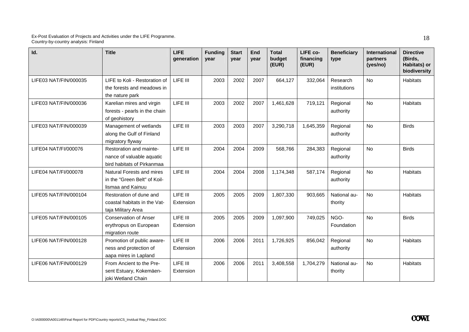| Id.                   | <b>Title</b>                                                                       | <b>LIFE</b><br>qeneration | <b>Funding</b><br>year | <b>Start</b><br>vear | End<br>year | <b>Total</b><br>budget<br>(EUR) | LIFE co-<br>financing<br>(EUR) | <b>Beneficiary</b><br>type | <b>International</b><br>partners<br>(yes/no) | <b>Directive</b><br>(Birds,<br>Habitats) or<br>biodiversity |
|-----------------------|------------------------------------------------------------------------------------|---------------------------|------------------------|----------------------|-------------|---------------------------------|--------------------------------|----------------------------|----------------------------------------------|-------------------------------------------------------------|
| LIFE03 NAT/FIN/000035 | LIFE to Koli - Restoration of<br>the forests and meadows in<br>the nature park     | LIFE III                  | 2003                   | 2002                 | 2007        | 664,127                         | 332,064                        | Research<br>institutions   | <b>No</b>                                    | <b>Habitats</b>                                             |
| LIFE03 NAT/FIN/000036 | Karelian mires and virgin<br>forests - pearls in the chain<br>of geohistory        | LIFE III                  | 2003                   | 2002                 | 2007        | 1,461,628                       | 719,121                        | Regional<br>authority      | No                                           | <b>Habitats</b>                                             |
| LIFE03 NAT/FIN/000039 | Management of wetlands<br>along the Gulf of Finland<br>migratory flyway            | LIFE III                  | 2003                   | 2003                 | 2007        | 3,290,718                       | 1,645,359                      | Regional<br>authority      | <b>No</b>                                    | <b>Birds</b>                                                |
| LIFE04 NAT/FI/000076  | Restoration and mainte-<br>nance of valuable aquatic<br>bird habitats of Pirkanmaa | LIFE III                  | 2004                   | 2004                 | 2009        | 568,766                         | 284,383                        | Regional<br>authority      | <b>No</b>                                    | <b>Birds</b>                                                |
| LIFE04 NAT/FI/000078  | Natural Forests and mires<br>in the "Green Belt" of Koil-<br>lismaa and Kainuu     | LIFE III                  | 2004                   | 2004                 | 2008        | 1,174,348                       | 587,174                        | Regional<br>authority      | <b>No</b>                                    | <b>Habitats</b>                                             |
| LIFE05 NAT/FIN/000104 | Restoration of dune and<br>coastal habitats in the Vat-<br>taja Military Area      | LIFE III<br>Extension     | 2005                   | 2005                 | 2009        | 1,807,330                       | 903,665                        | National au-<br>thority    | <b>No</b>                                    | <b>Habitats</b>                                             |
| LIFE05 NAT/FIN/000105 | <b>Conservation of Anser</b><br>erythropus on European<br>migration route          | LIFE III<br>Extension     | 2005                   | 2005                 | 2009        | 1,097,900                       | 749,025                        | NGO-<br>Foundation         | <b>No</b>                                    | <b>Birds</b>                                                |
| LIFE06 NAT/FIN/000128 | Promotion of public aware-<br>ness and protection of<br>aapa mires in Lapland      | LIFE III<br>Extension     | 2006                   | 2006                 | 2011        | 1,726,925                       | 856,042                        | Regional<br>authority      | <b>No</b>                                    | <b>Habitats</b>                                             |
| LIFE06 NAT/FIN/000129 | From Ancient to the Pre-<br>sent Estuary, Kokemäen-<br>joki Wetland Chain          | LIFE III<br>Extension     | 2006                   | 2006                 | 2011        | 3,408,558                       | 1,704,279                      | National au-<br>thority    | <b>No</b>                                    | <b>Habitats</b>                                             |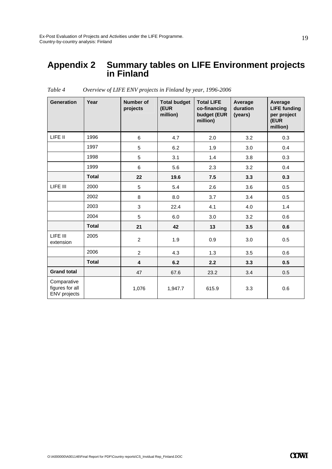### **Appendix 2 Summary tables on LIFE Environment projects in Finland**

| <b>Generation</b>                              | Year         | <b>Number of</b><br>projects | <b>Total budget</b><br>(EUR<br>million) | <b>Total LIFE</b><br>co-financing<br>budget (EUR<br>million) | Average<br>duration<br>(years) | Average<br><b>LIFE funding</b><br>per project<br>(EUR<br>million) |
|------------------------------------------------|--------------|------------------------------|-----------------------------------------|--------------------------------------------------------------|--------------------------------|-------------------------------------------------------------------|
| LIFE II                                        | 1996         | $\,6\,$                      | 4.7                                     | 2.0                                                          | 3.2                            | 0.3                                                               |
|                                                | 1997         | 5                            | 6.2                                     | 1.9                                                          | 3.0                            | 0.4                                                               |
|                                                | 1998         | 5                            | 3.1                                     | 1.4                                                          | 3.8                            | 0.3                                                               |
|                                                | 1999         | 6                            | 5.6                                     | 2.3                                                          | 3.2                            | 0.4                                                               |
|                                                | <b>Total</b> | 22                           | 19.6                                    | 7.5                                                          | 3.3                            | 0.3                                                               |
| LIFE III                                       | 2000         | 5                            | 5.4                                     | 2.6                                                          | 3.6                            | 0.5                                                               |
|                                                | 2002         | 8                            | 8.0                                     | 3.7                                                          | 3.4                            | 0.5                                                               |
|                                                | 2003         | 3                            | 22.4                                    | 4.1                                                          | 4.0                            | 1.4                                                               |
|                                                | 2004         | 5                            | 6.0                                     | 3.0                                                          | 3.2                            | 0.6                                                               |
|                                                | <b>Total</b> | 21                           | 42                                      | 13                                                           | 3.5                            | 0.6                                                               |
| LIFE III<br>extension                          | 2005         | 2                            | 1.9                                     | 0.9                                                          | 3.0                            | 0.5                                                               |
|                                                | 2006         | $\overline{2}$               | 4.3                                     | 1.3                                                          | 3.5                            | 0.6                                                               |
|                                                | <b>Total</b> | 4                            | 6.2                                     | 2.2                                                          | 3.3                            | 0.5                                                               |
| <b>Grand total</b>                             |              | 47                           | 67.6                                    | 23.2                                                         | 3.4                            | 0.5                                                               |
| Comparative<br>figures for all<br>ENV projects |              | 1,076                        | 1,947.7                                 | 615.9                                                        | 3.3                            | 0.6                                                               |

*Table 4 Overview of LIFE ENV projects in Finland by year, 1996-2006*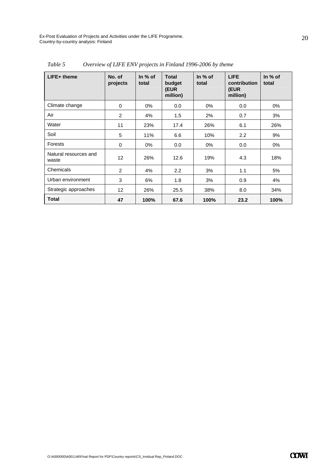| $LIFE+$ theme                  | No. of<br>projects | In $%$ of<br>total | <b>Total</b><br>budget<br>(EUR<br>million) | In $%$ of<br>total | <b>LIFE</b><br>contribution<br>(EUR<br>million) | In $%$ of<br>total |
|--------------------------------|--------------------|--------------------|--------------------------------------------|--------------------|-------------------------------------------------|--------------------|
| Climate change                 | $\Omega$           | $0\%$              | 0.0                                        | $0\%$              | 0.0                                             | 0%                 |
| Air                            | 2                  | 4%                 | 1.5                                        | 2%                 | 0.7                                             | 3%                 |
| Water                          | 11                 | 23%                | 17.4                                       | 26%                | 6.1                                             | 26%                |
| Soil                           | 5                  | 11%                | 6.6                                        | 10%                | 2.2                                             | 9%                 |
| Forests                        | 0                  | $0\%$              | 0.0                                        | $0\%$              | 0.0                                             | 0%                 |
| Natural resources and<br>waste | 12                 | 26%                | 12.6                                       | 19%                | 4.3                                             | 18%                |
| Chemicals                      | $\overline{2}$     | 4%                 | 2.2                                        | 3%                 | 1.1                                             | 5%                 |
| Urban environment              | 3                  | 6%                 | 1.8                                        | 3%                 | 0.9                                             | 4%                 |
| Strategic approaches           | 12                 | 26%                | 25.5                                       | 38%                | 8.0                                             | 34%                |
| <b>Total</b>                   | 47                 | 100%               | 67.6                                       | 100%               | 23.2                                            | 100%               |

*Table 5 Overview of LIFE ENV projects in Finland 1996-2006 by theme*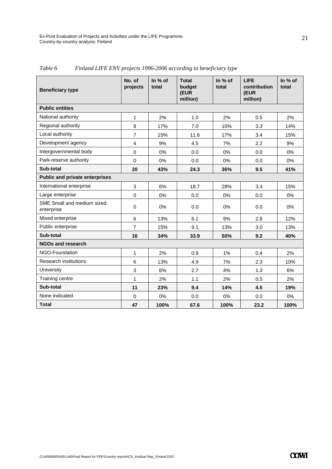| <b>Beneficiary type</b>                  | No. of<br>projects | In % of<br>total | <b>Total</b><br>budget<br>(EUR<br>million) | In % of<br>total | <b>LIFE</b><br>contribution<br>(EUR<br>million) | In % of<br>total |
|------------------------------------------|--------------------|------------------|--------------------------------------------|------------------|-------------------------------------------------|------------------|
| <b>Public entities</b>                   |                    |                  |                                            |                  |                                                 |                  |
| National authority                       | 1                  | 2%               | 1.0                                        | 2%               | 0.5                                             | 2%               |
| Regional authority                       | 8                  | 17%              | 7.0                                        | 10%              | 3.3                                             | 14%              |
| Local authority                          | $\overline{7}$     | 15%              | 11.6                                       | 17%              | 3.4                                             | 15%              |
| Development agency                       | $\overline{4}$     | 9%               | 4.5                                        | 7%               | 2.2                                             | 9%               |
| Intergovernmental body                   | 0                  | 0%               | 0.0                                        | 0%               | 0.0                                             | 0%               |
| Park-reserve authority                   | $\Omega$           | 0%               | 0.0                                        | 0%               | 0.0                                             | $0\%$            |
| Sub-total                                | 20                 | 43%              | 24.3                                       | 36%              | 9.5                                             | 41%              |
| <b>Public and private enterprises</b>    |                    |                  |                                            |                  |                                                 |                  |
| International enterprise                 | 3                  | 6%               | 18.7                                       | 28%              | 3.4                                             | 15%              |
| Large enterprise                         | $\mathbf 0$        | 0%               | 0.0                                        | 0%               | 0.0                                             | 0%               |
| SME Small and medium sized<br>enterprise | $\Omega$           | 0%               | 0.0                                        | 0%               | 0.0                                             | $0\%$            |
| Mixed enterprise                         | 6                  | 13%              | 6.1                                        | 9%               | 2.8                                             | 12%              |
| Public enterprise                        | $\overline{7}$     | 15%              | 9.1                                        | 13%              | 3.0                                             | 13%              |
| Sub-total                                | 16                 | 34%              | 33.9                                       | 50%              | 9.2                                             | 40%              |
| <b>NGOs and research</b>                 |                    |                  |                                            |                  |                                                 |                  |
| NGO-Foundation                           | 1                  | 2%               | 0.8                                        | 1%               | 0.4                                             | 2%               |
| <b>Research institutions</b>             | 6                  | 13%              | 4.9                                        | 7%               | 2.3                                             | 10%              |
| University                               | 3                  | 6%               | 2.7                                        | 4%               | 1.3                                             | 6%               |
| Training centre                          | 1                  | 2%               | 1.1                                        | 2%               | 0.5                                             | 2%               |
| Sub-total                                | 11                 | 23%              | 9.4                                        | 14%              | 4.5                                             | 19%              |
| None indicated                           | $\Omega$           | 0%               | 0.0                                        | $0\%$            | 0.0                                             | 0%               |
| <b>Total</b>                             | 47                 | 100%             | 67.6                                       | 100%             | 23.2                                            | 100%             |

*Table 6 Finland LIFE ENV projects 1996-2006 according to beneficiary type*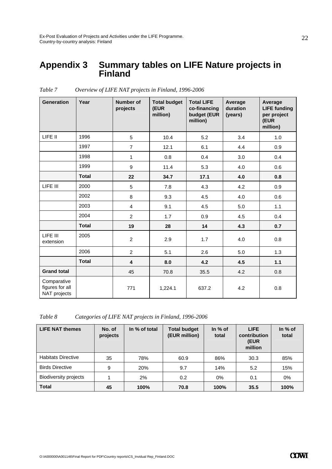### **Appendix 3 Summary tables on LIFE Nature projects in Finland**

| <b>Generation</b>                              | Year         | <b>Number of</b><br>projects | <b>Total budget</b><br>(EUR<br>million) | <b>Total LIFE</b><br>co-financing<br>budget (EUR<br>million) | Average<br>duration<br>(years) | Average<br><b>LIFE funding</b><br>per project<br>(EUR<br>million) |
|------------------------------------------------|--------------|------------------------------|-----------------------------------------|--------------------------------------------------------------|--------------------------------|-------------------------------------------------------------------|
| LIFE II                                        | 1996         | 5                            | 10.4                                    | 5.2                                                          | 3.4                            | 1.0                                                               |
|                                                | 1997         | $\overline{7}$               | 12.1                                    | 6.1                                                          | 4.4                            | 0.9                                                               |
|                                                | 1998         | $\mathbf{1}$                 | 0.8                                     | 0.4                                                          | 3.0                            | 0.4                                                               |
|                                                | 1999         | 9                            | 11.4                                    | 5.3                                                          | 4.0                            | 0.6                                                               |
|                                                | <b>Total</b> | 22                           | 34.7                                    | 17.1                                                         | 4.0                            | 0.8                                                               |
| LIFE III                                       | 2000         | 5                            | 7.8                                     | 4.3                                                          | 4.2                            | 0.9                                                               |
|                                                | 2002         | 8                            | 9.3                                     | 4.5                                                          | 4.0                            | 0.6                                                               |
|                                                | 2003         | $\overline{4}$               | 9.1                                     | 4.5                                                          | 5.0                            | 1.1                                                               |
|                                                | 2004         | $\overline{2}$               | 1.7                                     | 0.9                                                          | 4.5                            | 0.4                                                               |
|                                                | <b>Total</b> | 19                           | 28                                      | 14                                                           | 4.3                            | 0.7                                                               |
| LIFE III<br>extension                          | 2005         | $\overline{c}$               | 2.9                                     | 1.7                                                          | 4.0                            | 0.8                                                               |
|                                                | 2006         | $\overline{c}$               | 5.1                                     | 2.6                                                          | 5.0                            | 1.3                                                               |
|                                                | <b>Total</b> | $\overline{\mathbf{4}}$      | 8.0                                     | 4.2                                                          | 4.5                            | 1.1                                                               |
| <b>Grand total</b>                             |              | 45                           | 70.8                                    | 35.5                                                         | 4.2                            | 0.8                                                               |
| Comparative<br>figures for all<br>NAT projects |              | 771                          | 1,224.1                                 | 637.2                                                        | 4.2                            | 0.8                                                               |

*Table 7 Overview of LIFE NAT projects in Finland, 1996-2006* 

*Table 8 Categories of LIFE NAT projects in Finland, 1996-2006* 

| <b>LIFE NAT themes</b>       | No. of<br>projects | In % of total | <b>Total budget</b><br>(EUR million) | In $%$ of<br>total | <b>LIFE</b><br>contribution<br>(EUR<br>million | In $%$ of<br>total |
|------------------------------|--------------------|---------------|--------------------------------------|--------------------|------------------------------------------------|--------------------|
| <b>Habitats Directive</b>    | 35                 | 78%           | 60.9                                 | 86%                | 30.3                                           | 85%                |
| <b>Birds Directive</b>       | 9                  | 20%           | 9.7                                  | 14%                | 5.2                                            | 15%                |
| <b>Biodiversity projects</b> |                    | 2%            | 0.2                                  | 0%                 | 0.1                                            | $0\%$              |
| <b>Total</b>                 | 45                 | 100%          | 70.8                                 | 100%               | 35.5                                           | 100%               |